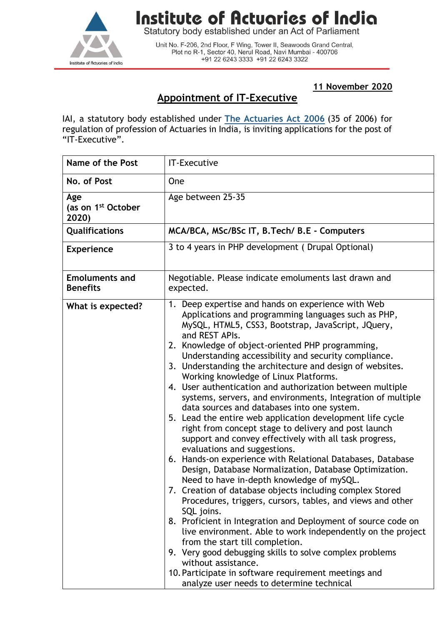

## **Institute of Actuaries of India**

Statutory body established under an Act of Parliament

Unit No. F-206, 2nd Floor, F Wing, Tower II, Seawoods Grand Central,<br>Plot no R-1, Sector 40, Nerul Road, Navi Mumbai - 400706 +91 22 6243 3333 +91 22 6243 3322

**11 November 2020**

## **Appointment of IT-Executive**

IAI, a statutory body established under **[The Actuaries Act 2006](http://www.actuariesindia.org/guidance/scanned%20GN.pdf)** (35 of 2006) for regulation of profession of Actuaries in India, is inviting applications for the post of "IT-Executive".

| Name of the Post                               | IT-Executive                                                                                                                                                                                                                                                                                                                                                                                                                                                                                                                                                                                                                                                                                                                                                                                                                                                                                                                                                                                                                                                                                                                                                                                                                                                                                                                                                                                                                                                         |
|------------------------------------------------|----------------------------------------------------------------------------------------------------------------------------------------------------------------------------------------------------------------------------------------------------------------------------------------------------------------------------------------------------------------------------------------------------------------------------------------------------------------------------------------------------------------------------------------------------------------------------------------------------------------------------------------------------------------------------------------------------------------------------------------------------------------------------------------------------------------------------------------------------------------------------------------------------------------------------------------------------------------------------------------------------------------------------------------------------------------------------------------------------------------------------------------------------------------------------------------------------------------------------------------------------------------------------------------------------------------------------------------------------------------------------------------------------------------------------------------------------------------------|
| No. of Post                                    | One                                                                                                                                                                                                                                                                                                                                                                                                                                                                                                                                                                                                                                                                                                                                                                                                                                                                                                                                                                                                                                                                                                                                                                                                                                                                                                                                                                                                                                                                  |
| Age<br>(as on 1 <sup>st</sup> October<br>2020) | Age between 25-35                                                                                                                                                                                                                                                                                                                                                                                                                                                                                                                                                                                                                                                                                                                                                                                                                                                                                                                                                                                                                                                                                                                                                                                                                                                                                                                                                                                                                                                    |
| Qualifications                                 | MCA/BCA, MSc/BSc IT, B.Tech/ B.E - Computers                                                                                                                                                                                                                                                                                                                                                                                                                                                                                                                                                                                                                                                                                                                                                                                                                                                                                                                                                                                                                                                                                                                                                                                                                                                                                                                                                                                                                         |
| <b>Experience</b>                              | 3 to 4 years in PHP development (Drupal Optional)                                                                                                                                                                                                                                                                                                                                                                                                                                                                                                                                                                                                                                                                                                                                                                                                                                                                                                                                                                                                                                                                                                                                                                                                                                                                                                                                                                                                                    |
| <b>Emoluments and</b><br><b>Benefits</b>       | Negotiable. Please indicate emoluments last drawn and<br>expected.                                                                                                                                                                                                                                                                                                                                                                                                                                                                                                                                                                                                                                                                                                                                                                                                                                                                                                                                                                                                                                                                                                                                                                                                                                                                                                                                                                                                   |
| What is expected?                              | 1. Deep expertise and hands on experience with Web<br>Applications and programming languages such as PHP,<br>MySQL, HTML5, CSS3, Bootstrap, JavaScript, JQuery,<br>and REST APIs.<br>2. Knowledge of object-oriented PHP programming,<br>Understanding accessibility and security compliance.<br>3. Understanding the architecture and design of websites.<br>Working knowledge of Linux Platforms.<br>4. User authentication and authorization between multiple<br>systems, servers, and environments, Integration of multiple<br>data sources and databases into one system.<br>5. Lead the entire web application development life cycle<br>right from concept stage to delivery and post launch<br>support and convey effectively with all task progress,<br>evaluations and suggestions.<br>6. Hands-on experience with Relational Databases, Database<br>Design, Database Normalization, Database Optimization.<br>Need to have in-depth knowledge of mySQL.<br>7. Creation of database objects including complex Stored<br>Procedures, triggers, cursors, tables, and views and other<br>SQL joins.<br>8. Proficient in Integration and Deployment of source code on<br>live environment. Able to work independently on the project<br>from the start till completion.<br>9. Very good debugging skills to solve complex problems<br>without assistance.<br>10. Participate in software requirement meetings and<br>analyze user needs to determine technical |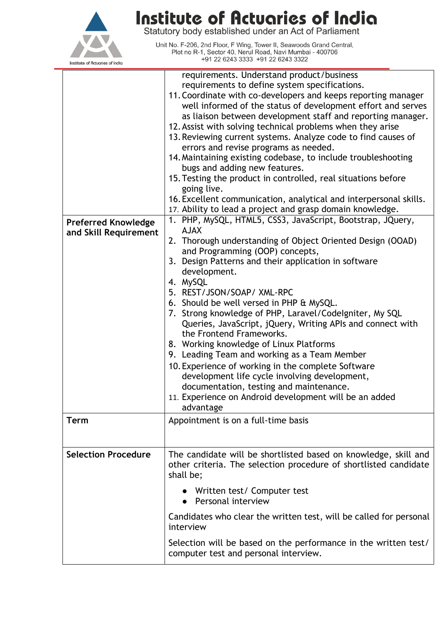

## **Institute of Actuaries of India**<br>Statutory body established under an Act of Parliament

Unit No. F-206, 2nd Floor, F Wing, Tower II, Seawoods Grand Central,<br>Plot no R-1, Sector 40, Nerul Road, Navi Mumbai - 400706<br>+91 22 6243 3333 +91 22 6243 3322

| <b>Preferred Knowledge</b><br>and Skill Requirement | requirements. Understand product/business<br>requirements to define system specifications.<br>11. Coordinate with co-developers and keeps reporting manager<br>well informed of the status of development effort and serves<br>as liaison between development staff and reporting manager.<br>12. Assist with solving technical problems when they arise<br>13. Reviewing current systems. Analyze code to find causes of<br>errors and revise programs as needed.<br>14. Maintaining existing codebase, to include troubleshooting<br>bugs and adding new features.<br>15. Testing the product in controlled, real situations before<br>going live.<br>16. Excellent communication, analytical and interpersonal skills.<br>17. Ability to lead a project and grasp domain knowledge.<br>1. PHP, MySQL, HTML5, CSS3, JavaScript, Bootstrap, JQuery,<br><b>AJAX</b><br>2. Thorough understanding of Object Oriented Design (OOAD)<br>and Programming (OOP) concepts,<br>3. Design Patterns and their application in software<br>development.<br>4. MySQL<br>5. REST/JSON/SOAP/ XML-RPC<br>6. Should be well versed in PHP & MySQL.<br>7. Strong knowledge of PHP, Laravel/Codelgniter, My SQL<br>Queries, JavaScript, jQuery, Writing APIs and connect with<br>the Frontend Frameworks.<br>8. Working knowledge of Linux Platforms<br>9. Leading Team and working as a Team Member<br>10. Experience of working in the complete Software<br>development life cycle involving development,<br>documentation, testing and maintenance.<br>11. Experience on Android development will be an added<br>advantage |
|-----------------------------------------------------|-------------------------------------------------------------------------------------------------------------------------------------------------------------------------------------------------------------------------------------------------------------------------------------------------------------------------------------------------------------------------------------------------------------------------------------------------------------------------------------------------------------------------------------------------------------------------------------------------------------------------------------------------------------------------------------------------------------------------------------------------------------------------------------------------------------------------------------------------------------------------------------------------------------------------------------------------------------------------------------------------------------------------------------------------------------------------------------------------------------------------------------------------------------------------------------------------------------------------------------------------------------------------------------------------------------------------------------------------------------------------------------------------------------------------------------------------------------------------------------------------------------------------------------------------------------------------------------------------------------|
| <b>Term</b>                                         | Appointment is on a full-time basis                                                                                                                                                                                                                                                                                                                                                                                                                                                                                                                                                                                                                                                                                                                                                                                                                                                                                                                                                                                                                                                                                                                                                                                                                                                                                                                                                                                                                                                                                                                                                                         |
| <b>Selection Procedure</b>                          | The candidate will be shortlisted based on knowledge, skill and<br>other criteria. The selection procedure of shortlisted candidate<br>shall be;<br>Written test/ Computer test<br>Personal interview<br>Candidates who clear the written test, will be called for personal<br>interview<br>Selection will be based on the performance in the written test/<br>computer test and personal interview.                                                                                                                                                                                                                                                                                                                                                                                                                                                                                                                                                                                                                                                                                                                                                                                                                                                                                                                                                                                                                                                                                                                                                                                                        |